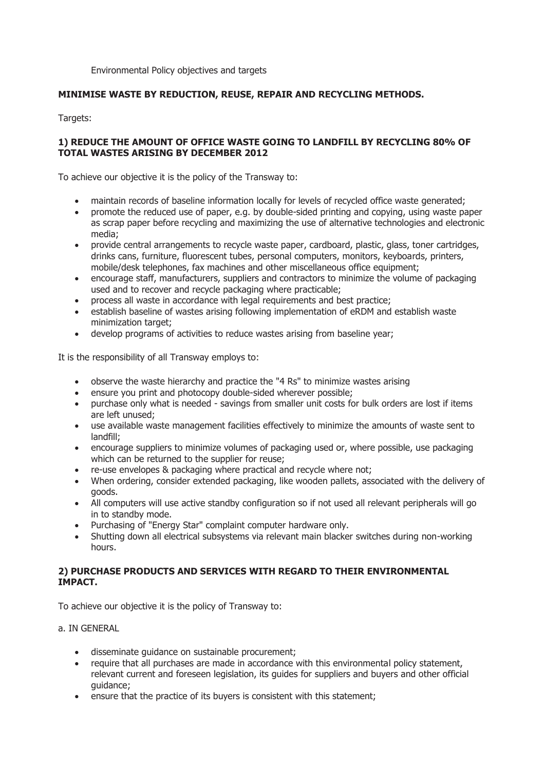Environmental Policy objectives and targets

## **MINIMISE WASTE BY REDUCTION, REUSE, REPAIR AND RECYCLING METHODS.**

Targets:

## **1) REDUCE THE AMOUNT OF OFFICE WASTE GOING TO LANDFILL BY RECYCLING 80% OF TOTAL WASTES ARISING BY DECEMBER 2012**

To achieve our objective it is the policy of the Transway to:

- maintain records of baseline information locally for levels of recycled office waste generated;
- promote the reduced use of paper, e.g. by double-sided printing and copying, using waste paper as scrap paper before recycling and maximizing the use of alternative technologies and electronic media;
- provide central arrangements to recycle waste paper, cardboard, plastic, glass, toner cartridges, drinks cans, furniture, fluorescent tubes, personal computers, monitors, keyboards, printers, mobile/desk telephones, fax machines and other miscellaneous office equipment;
- encourage staff, manufacturers, suppliers and contractors to minimize the volume of packaging used and to recover and recycle packaging where practicable;
- process all waste in accordance with legal requirements and best practice;
- establish baseline of wastes arising following implementation of eRDM and establish waste minimization target;
- develop programs of activities to reduce wastes arising from baseline year;

It is the responsibility of all Transway employs to:

- observe the waste hierarchy and practice the "4 Rs" to minimize wastes arising
- ensure you print and photocopy double-sided wherever possible;
- purchase only what is needed savings from smaller unit costs for bulk orders are lost if items are left unused;
- use available waste management facilities effectively to minimize the amounts of waste sent to landfill;
- encourage suppliers to minimize volumes of packaging used or, where possible, use packaging which can be returned to the supplier for reuse;
- re-use envelopes & packaging where practical and recycle where not;
- When ordering, consider extended packaging, like wooden pallets, associated with the delivery of goods.
- All computers will use active standby configuration so if not used all relevant peripherals will go in to standby mode.
- Purchasing of "Energy Star" complaint computer hardware only.
- Shutting down all electrical subsystems via relevant main blacker switches during non-working hours.

## **2) PURCHASE PRODUCTS AND SERVICES WITH REGARD TO THEIR ENVIRONMENTAL IMPACT.**

To achieve our objective it is the policy of Transway to:

a. IN GENERAL

- disseminate guidance on sustainable procurement;
- require that all purchases are made in accordance with this environmental policy statement, relevant current and foreseen legislation, its guides for suppliers and buyers and other official guidance;
- ensure that the practice of its buyers is consistent with this statement;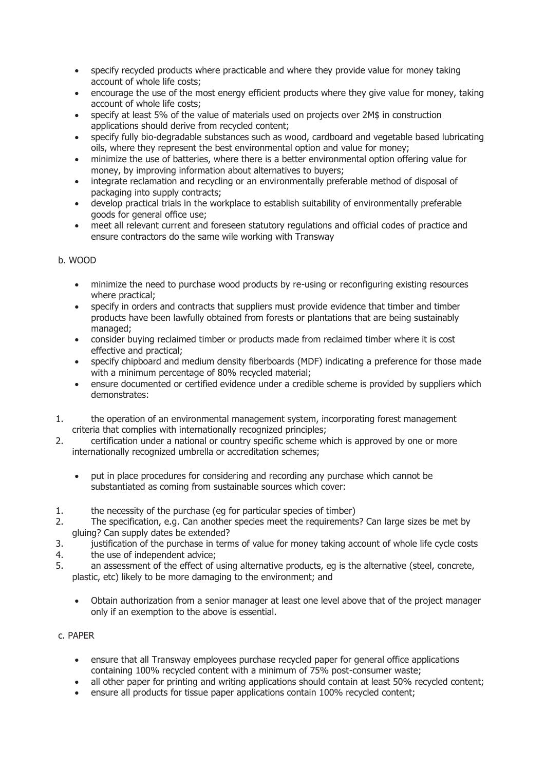- specify recycled products where practicable and where they provide value for money taking account of whole life costs;
- encourage the use of the most energy efficient products where they give value for money, taking account of whole life costs;
- specify at least 5% of the value of materials used on projects over 2M\$ in construction applications should derive from recycled content;
- specify fully bio-degradable substances such as wood, cardboard and vegetable based lubricating oils, where they represent the best environmental option and value for money;
- minimize the use of batteries, where there is a better environmental option offering value for money, by improving information about alternatives to buyers;
- integrate reclamation and recycling or an environmentally preferable method of disposal of packaging into supply contracts;
- develop practical trials in the workplace to establish suitability of environmentally preferable goods for general office use;
- meet all relevant current and foreseen statutory regulations and official codes of practice and ensure contractors do the same wile working with Transway

# b. WOOD

- minimize the need to purchase wood products by re-using or reconfiguring existing resources where practical;
- specify in orders and contracts that suppliers must provide evidence that timber and timber products have been lawfully obtained from forests or plantations that are being sustainably managed;
- consider buying reclaimed timber or products made from reclaimed timber where it is cost effective and practical;
- specify chipboard and medium density fiberboards (MDF) indicating a preference for those made with a minimum percentage of 80% recycled material;
- ensure documented or certified evidence under a credible scheme is provided by suppliers which demonstrates:
- 1. the operation of an environmental management system, incorporating forest management criteria that complies with internationally recognized principles;
- 2. certification under a national or country specific scheme which is approved by one or more internationally recognized umbrella or accreditation schemes;
	- put in place procedures for considering and recording any purchase which cannot be substantiated as coming from sustainable sources which cover:
- 1. the necessity of the purchase (eg for particular species of timber)
- 2. The specification, e.g. Can another species meet the requirements? Can large sizes be met by gluing? Can supply dates be extended?
- 3. justification of the purchase in terms of value for money taking account of whole life cycle costs
- 4. the use of independent advice;
- 5. an assessment of the effect of using alternative products, eg is the alternative (steel, concrete, plastic, etc) likely to be more damaging to the environment; and
	- Obtain authorization from a senior manager at least one level above that of the project manager only if an exemption to the above is essential.

# c. PAPER

- ensure that all Transway employees purchase recycled paper for general office applications containing 100% recycled content with a minimum of 75% post-consumer waste;
- all other paper for printing and writing applications should contain at least 50% recycled content;
- ensure all products for tissue paper applications contain 100% recycled content;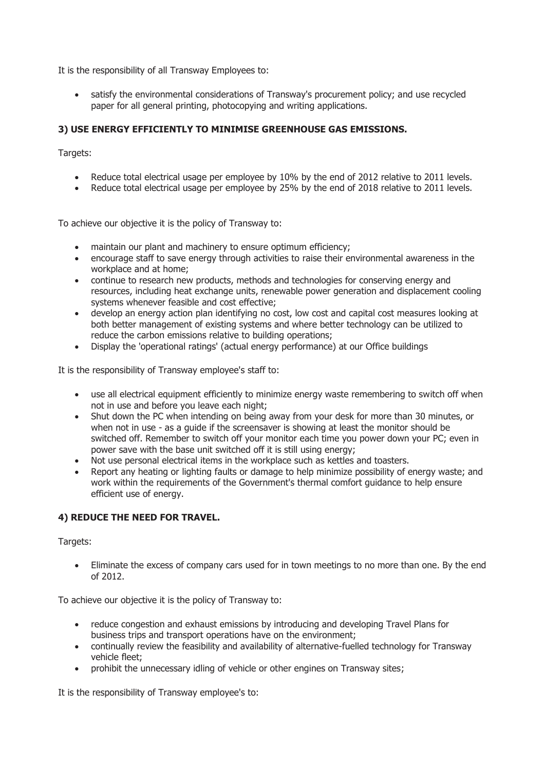It is the responsibility of all Transway Employees to:

 satisfy the environmental considerations of Transway's procurement policy; and use recycled paper for all general printing, photocopying and writing applications.

# **3) USE ENERGY EFFICIENTLY TO MINIMISE GREENHOUSE GAS EMISSIONS.**

Targets:

- Reduce total electrical usage per employee by 10% by the end of 2012 relative to 2011 levels.
- Reduce total electrical usage per employee by 25% by the end of 2018 relative to 2011 levels.

To achieve our objective it is the policy of Transway to:

- maintain our plant and machinery to ensure optimum efficiency;
- encourage staff to save energy through activities to raise their environmental awareness in the workplace and at home;
- continue to research new products, methods and technologies for conserving energy and resources, including heat exchange units, renewable power generation and displacement cooling systems whenever feasible and cost effective;
- develop an energy action plan identifying no cost, low cost and capital cost measures looking at both better management of existing systems and where better technology can be utilized to reduce the carbon emissions relative to building operations;
- Display the 'operational ratings' (actual energy performance) at our Office buildings

It is the responsibility of Transway employee's staff to:

- use all electrical equipment efficiently to minimize energy waste remembering to switch off when not in use and before you leave each night;
- Shut down the PC when intending on being away from your desk for more than 30 minutes, or when not in use - as a guide if the screensaver is showing at least the monitor should be switched off. Remember to switch off your monitor each time you power down your PC; even in power save with the base unit switched off it is still using energy;
- Not use personal electrical items in the workplace such as kettles and toasters.
- Report any heating or lighting faults or damage to help minimize possibility of energy waste; and work within the requirements of the Government's thermal comfort guidance to help ensure efficient use of energy.

#### **4) REDUCE THE NEED FOR TRAVEL.**

Targets:

• Eliminate the excess of company cars used for in town meetings to no more than one. By the end of 2012.

To achieve our objective it is the policy of Transway to:

- reduce congestion and exhaust emissions by introducing and developing Travel Plans for business trips and transport operations have on the environment;
- continually review the feasibility and availability of alternative-fuelled technology for Transway vehicle fleet;
- prohibit the unnecessary idling of vehicle or other engines on Transway sites;

It is the responsibility of Transway employee's to: